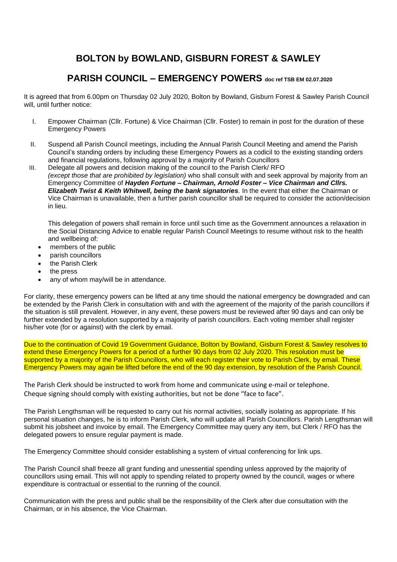## **BOLTON by BOWLAND, GISBURN FOREST & SAWLEY**

## **PARISH COUNCIL – EMERGENCY POWERS doc ref TSB EM 02.07.2020**

It is agreed that from 6.00pm on Thursday 02 July 2020, Bolton by Bowland, Gisburn Forest & Sawley Parish Council will, until further notice:

- I. Empower Chairman (Cllr. Fortune) & Vice Chairman (Cllr. Foster) to remain in post for the duration of these Emergency Powers
- II. Suspend all Parish Council meetings, including the Annual Parish Council Meeting and amend the Parish Council's standing orders by including these Emergency Powers as a codicil to the existing standing orders and financial regulations, following approval by a majority of Parish Councillors
- III. Delegate all powers and decision making of the council to the Parish Clerk/ RFO *(except those that are prohibited by legislation)* who shall consult with and seek approval by majority from an Emergency Committee of *Hayden Fortune – Chairman, Arnold Foster – Vice Chairman and Cllrs. Elizabeth Twist & Keith Whitwell, being the bank signatories.* In the event that either the Chairman or Vice Chairman is unavailable, then a further parish councillor shall be required to consider the action/decision in lieu.

This delegation of powers shall remain in force until such time as the Government announces a relaxation in the Social Distancing Advice to enable regular Parish Council Meetings to resume without risk to the health and wellbeing of:

- members of the public
- parish councillors
- the Parish Clerk
- the press
- any of whom may/will be in attendance.

For clarity, these emergency powers can be lifted at any time should the national emergency be downgraded and can be extended by the Parish Clerk in consultation with and with the agreement of the majority of the parish councillors if the situation is still prevalent. However, in any event, these powers must be reviewed after 90 days and can only be further extended by a resolution supported by a majority of parish councillors. Each voting member shall register his/her vote (for or against) with the clerk by email.

Due to the continuation of Covid 19 Government Guidance, Bolton by Bowland, Gisburn Forest & Sawley resolves to extend these Emergency Powers for a period of a further 90 days from 02 July 2020. This resolution must be supported by a majority of the Parish Councillors, who will each register their vote to Parish Clerk, by email. These Emergency Powers may again be lifted before the end of the 90 day extension, by resolution of the Parish Council.

The Parish Clerk should be instructed to work from home and communicate using e-mail or telephone. Cheque signing should comply with existing authorities, but not be done "face to face".

The Parish Lengthsman will be requested to carry out his normal activities, socially isolating as appropriate. If his personal situation changes, he is to inform Parish Clerk, who will update all Parish Councillors. Parish Lengthsman will submit his jobsheet and invoice by email. The Emergency Committee may query any item, but Clerk / RFO has the delegated powers to ensure regular payment is made.

The Emergency Committee should consider establishing a system of virtual conferencing for link ups.

The Parish Council shall freeze all grant funding and unessential spending unless approved by the majority of councillors using email. This will not apply to spending related to property owned by the council, wages or where expenditure is contractual or essential to the running of the council.

Communication with the press and public shall be the responsibility of the Clerk after due consultation with the Chairman, or in his absence, the Vice Chairman.